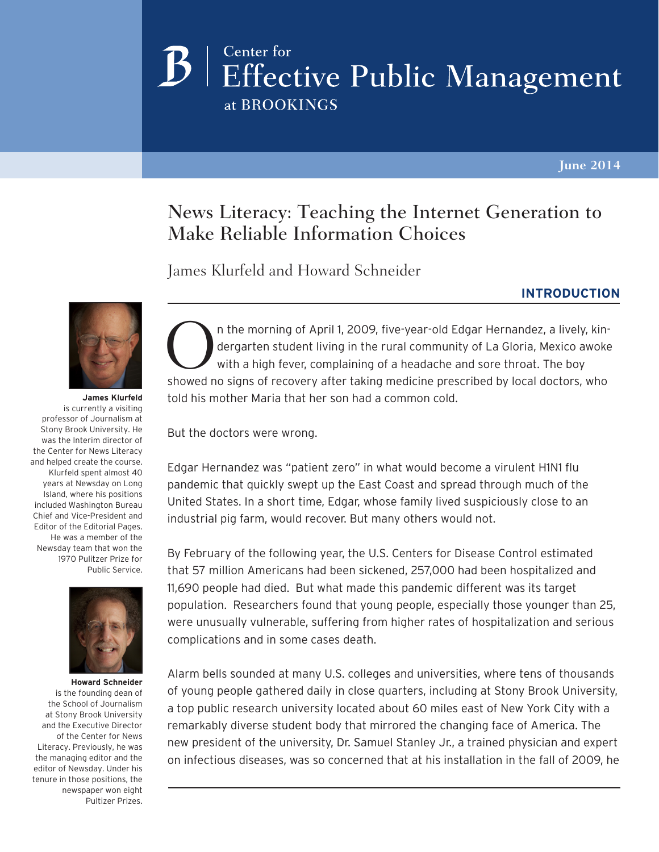# Center for **Effective Public Management** at BROOKINGS

**June 2014**

# News Literacy: Teaching the Internet Generation to Make Reliable Information Choices

James Klurfeld and Howard Schneider

#### **INTRODUCTION**



**James Klurfeld** is currently a visiting professor of Journalism at Stony Brook University. He was the Interim director of the Center for News Literacy and helped create the course. Klurfeld spent almost 40 years at Newsday on Long Island, where his positions included Washington Bureau Chief and Vice-President and Editor of the Editorial Pages. He was a member of the Newsday team that won the 1970 Pulitzer Prize for Public Service.



**Howard Schneider** is the founding dean of the School of Journalism at Stony Brook University and the Executive Director of the Center for News Literacy. Previously, he was the managing editor and the editor of Newsday. Under his tenure in those positions, the newspaper won eight Pultizer Prizes. On the morning of April 1, 2009, five-year-old Edgar Hernandez, a lively, kin-<br>dergarten student living in the rural community of La Gloria, Mexico awoke<br>with a high fever, complaining of a headache and sore throat. The bo dergarten student living in the rural community of La Gloria, Mexico awoke with a high fever, complaining of a headache and sore throat. The boy showed no signs of recovery after taking medicine prescribed by local doctors, who told his mother Maria that her son had a common cold.

But the doctors were wrong.

Edgar Hernandez was "patient zero" in what would become a virulent H1N1 flu pandemic that quickly swept up the East Coast and spread through much of the United States. In a short time, Edgar, whose family lived suspiciously close to an industrial pig farm, would recover. But many others would not.

By February of the following year, the U.S. Centers for Disease Control estimated that 57 million Americans had been sickened, 257,000 had been hospitalized and 11,690 people had died. But what made this pandemic different was its target population. Researchers found that young people, especially those younger than 25, were unusually vulnerable, suffering from higher rates of hospitalization and serious complications and in some cases death.

Alarm bells sounded at many U.S. colleges and universities, where tens of thousands of young people gathered daily in close quarters, including at Stony Brook University, a top public research university located about 60 miles east of New York City with a remarkably diverse student body that mirrored the changing face of America. The new president of the university, Dr. Samuel Stanley Jr., a trained physician and expert on infectious diseases, was so concerned that at his installation in the fall of 2009, he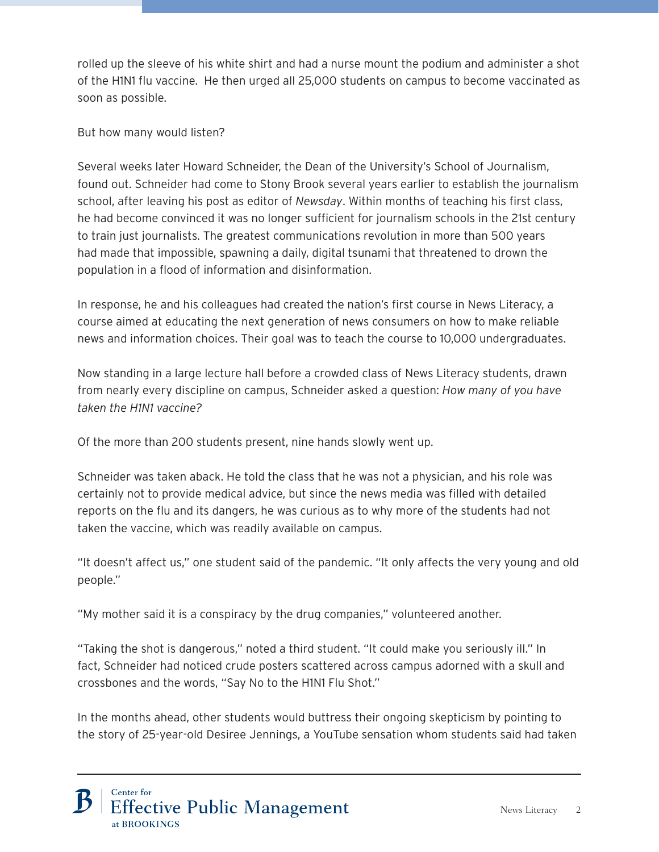rolled up the sleeve of his white shirt and had a nurse mount the podium and administer a shot of the H1N1 flu vaccine. He then urged all 25,000 students on campus to become vaccinated as soon as possible.

But how many would listen?

Several weeks later Howard Schneider, the Dean of the University's School of Journalism, found out. Schneider had come to Stony Brook several years earlier to establish the journalism school, after leaving his post as editor of *Newsday*. Within months of teaching his first class, he had become convinced it was no longer sufficient for journalism schools in the 21st century to train just journalists. The greatest communications revolution in more than 500 years had made that impossible, spawning a daily, digital tsunami that threatened to drown the population in a flood of information and disinformation.

In response, he and his colleagues had created the nation's first course in News Literacy, a course aimed at educating the next generation of news consumers on how to make reliable news and information choices. Their goal was to teach the course to 10,000 undergraduates.

Now standing in a large lecture hall before a crowded class of News Literacy students, drawn from nearly every discipline on campus, Schneider asked a question: *How many of you have taken the H1N1 vaccine?*

Of the more than 200 students present, nine hands slowly went up.

Schneider was taken aback. He told the class that he was not a physician, and his role was certainly not to provide medical advice, but since the news media was filled with detailed reports on the flu and its dangers, he was curious as to why more of the students had not taken the vaccine, which was readily available on campus.

"It doesn't affect us," one student said of the pandemic. "It only affects the very young and old people."

"My mother said it is a conspiracy by the drug companies," volunteered another.

"Taking the shot is dangerous," noted a third student. "It could make you seriously ill." In fact, Schneider had noticed crude posters scattered across campus adorned with a skull and crossbones and the words, "Say No to the H1N1 Flu Shot."

In the months ahead, other students would buttress their ongoing skepticism by pointing to the story of 25-year-old Desiree Jennings, a YouTube sensation whom students said had taken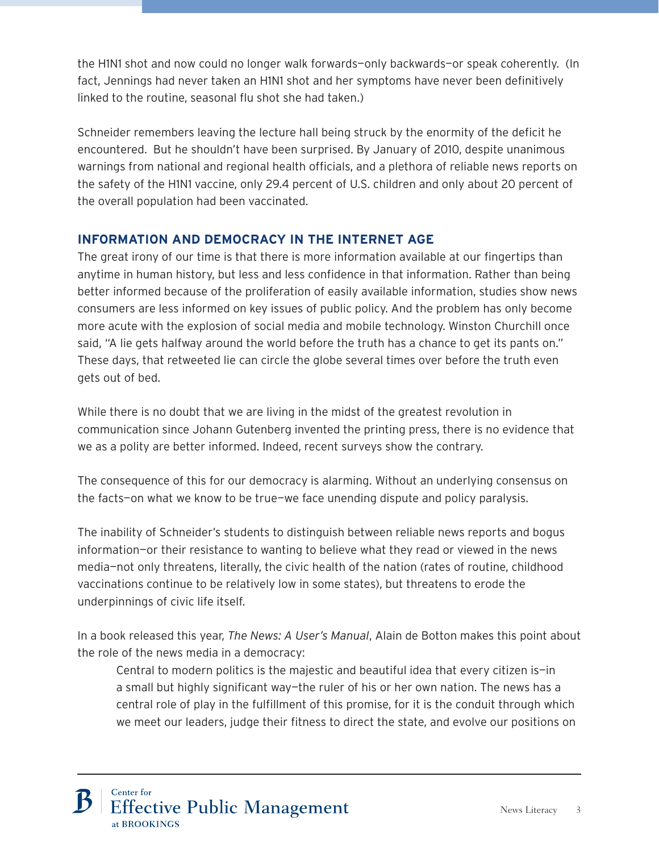the H1N1 shot and now could no longer walk forwards—only backwards—or speak coherently. (In fact, Jennings had never taken an H1N1 shot and her symptoms have never been definitively linked to the routine, seasonal flu shot she had taken.)

Schneider remembers leaving the lecture hall being struck by the enormity of the deficit he encountered. But he shouldn't have been surprised. By January of 2010, despite unanimous warnings from national and regional health officials, and a plethora of reliable news reports on the safety of the H1N1 vaccine, only 29.4 percent of U.S. children and only about 20 percent of the overall population had been vaccinated.

### **INFORMATION AND DEMOCRACY IN THE INTERNET AGE**

The great irony of our time is that there is more information available at our fingertips than anytime in human history, but less and less confidence in that information. Rather than being better informed because of the proliferation of easily available information, studies show news consumers are less informed on key issues of public policy. And the problem has only become more acute with the explosion of social media and mobile technology. Winston Churchill once said, "A lie gets halfway around the world before the truth has a chance to get its pants on." These days, that retweeted lie can circle the globe several times over before the truth even gets out of bed.

While there is no doubt that we are living in the midst of the greatest revolution in communication since Johann Gutenberg invented the printing press, there is no evidence that we as a polity are better informed. Indeed, recent surveys show the contrary.

The consequence of this for our democracy is alarming. Without an underlying consensus on the facts—on what we know to be true—we face unending dispute and policy paralysis.

The inability of Schneider's students to distinguish between reliable news reports and bogus information—or their resistance to wanting to believe what they read or viewed in the news media—not only threatens, literally, the civic health of the nation (rates of routine, childhood vaccinations continue to be relatively low in some states), but threatens to erode the underpinnings of civic life itself.

In a book released this year, *The News: A User's Manual*, Alain de Botton makes this point about the role of the news media in a democracy:

Central to modern politics is the majestic and beautiful idea that every citizen is—in a small but highly significant way-the ruler of his or her own nation. The news has a central role of play in the fulfillment of this promise, for it is the conduit through which we meet our leaders, judge their fitness to direct the state, and evolve our positions on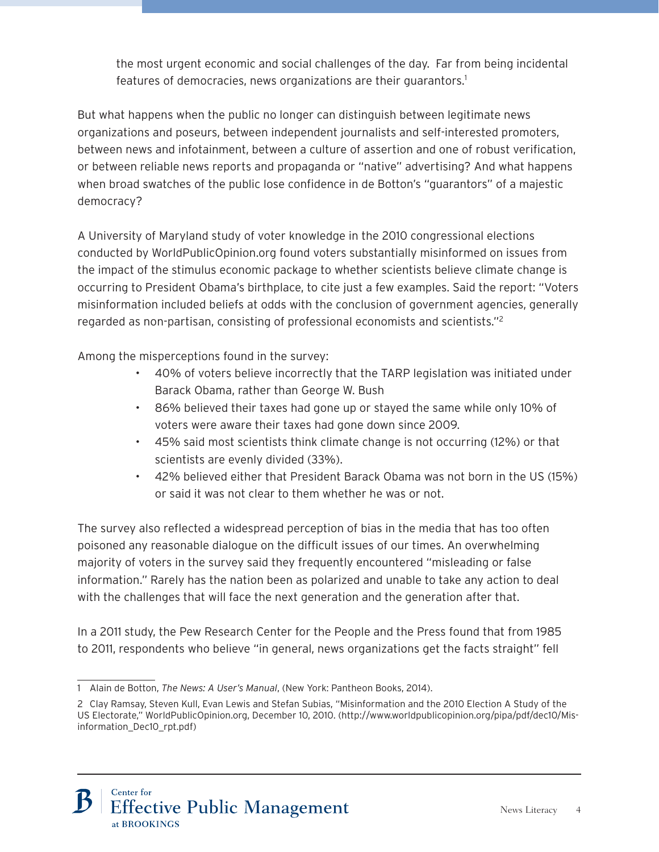the most urgent economic and social challenges of the day. Far from being incidental features of democracies, news organizations are their quarantors.<sup>1</sup>

But what happens when the public no longer can distinguish between legitimate news organizations and poseurs, between independent journalists and self-interested promoters, between news and infotainment, between a culture of assertion and one of robust verification, or between reliable news reports and propaganda or "native" advertising? And what happens when broad swatches of the public lose confidence in de Botton's "guarantors" of a majestic democracy?

A University of Maryland study of voter knowledge in the 2010 congressional elections conducted by WorldPublicOpinion.org found voters substantially misinformed on issues from the impact of the stimulus economic package to whether scientists believe climate change is occurring to President Obama's birthplace, to cite just a few examples. Said the report: "Voters misinformation included beliefs at odds with the conclusion of government agencies, generally regarded as non-partisan, consisting of professional economists and scientists."2

Among the misperceptions found in the survey:

- 40% of voters believe incorrectly that the TARP legislation was initiated under Barack Obama, rather than George W. Bush
- 86% believed their taxes had gone up or stayed the same while only 10% of voters were aware their taxes had gone down since 2009.
- 45% said most scientists think climate change is not occurring (12%) or that scientists are evenly divided (33%).
- 42% believed either that President Barack Obama was not born in the US (15%) or said it was not clear to them whether he was or not.

The survey also reflected a widespread perception of bias in the media that has too often poisoned any reasonable dialogue on the difficult issues of our times. An overwhelming majority of voters in the survey said they frequently encountered "misleading or false information." Rarely has the nation been as polarized and unable to take any action to deal with the challenges that will face the next generation and the generation after that.

In a 2011 study, the Pew Research Center for the People and the Press found that from 1985 to 2011, respondents who believe "in general, news organizations get the facts straight" fell



<sup>1</sup> Alain de Botton, *The News: A User's Manual*, (New York: Pantheon Books, 2014).

<sup>2</sup> Clay Ramsay, Steven Kull, Evan Lewis and Stefan Subias, "Misinformation and the 2010 Election A Study of the US Electorate," WorldPublicOpinion.org, December 10, 2010. [\(http://www.worldpublicopinion.org/pipa/pdf/dec10/Mis](http://www.worldpublicopinion.org/pipa/pdf/dec10/Misinformation_Dec10_rpt.pdf)[information\\_Dec10\\_rpt.pdf](http://www.worldpublicopinion.org/pipa/pdf/dec10/Misinformation_Dec10_rpt.pdf))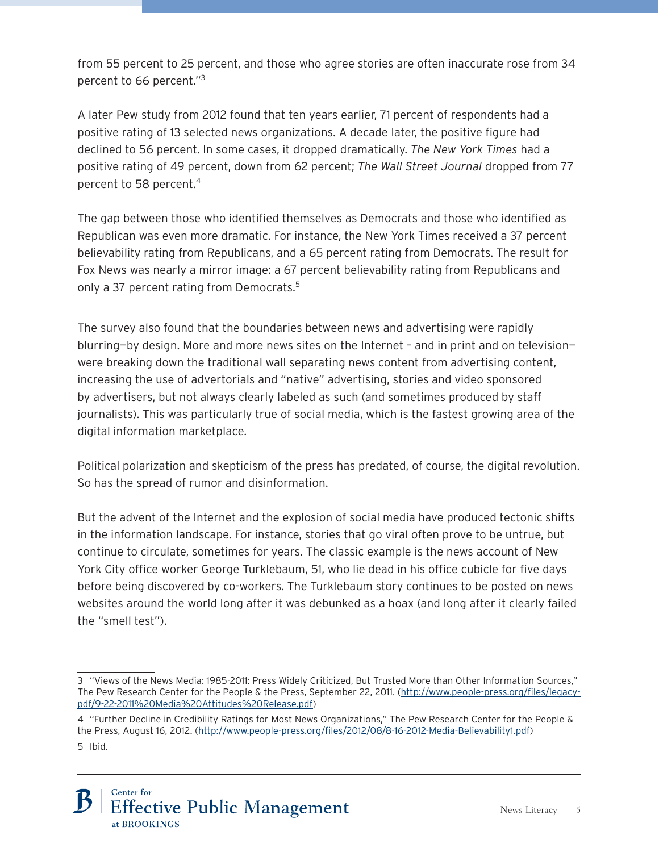from 55 percent to 25 percent, and those who agree stories are often inaccurate rose from 34 percent to 66 percent."3

A later Pew study from 2012 found that ten years earlier, 71 percent of respondents had a positive rating of 13 selected news organizations. A decade later, the positive figure had declined to 56 percent. In some cases, it dropped dramatically. *The New York Times* had a positive rating of 49 percent, down from 62 percent; *The Wall Street Journal* dropped from 77 percent to 58 percent.4

The gap between those who identified themselves as Democrats and those who identified as Republican was even more dramatic. For instance, the New York Times received a 37 percent believability rating from Republicans, and a 65 percent rating from Democrats. The result for Fox News was nearly a mirror image: a 67 percent believability rating from Republicans and only a 37 percent rating from Democrats.<sup>5</sup>

The survey also found that the boundaries between news and advertising were rapidly blurring—by design. More and more news sites on the Internet – and in print and on television were breaking down the traditional wall separating news content from advertising content, increasing the use of advertorials and "native" advertising, stories and video sponsored by advertisers, but not always clearly labeled as such (and sometimes produced by staff journalists). This was particularly true of social media, which is the fastest growing area of the digital information marketplace.

Political polarization and skepticism of the press has predated, of course, the digital revolution. So has the spread of rumor and disinformation.

But the advent of the Internet and the explosion of social media have produced tectonic shifts in the information landscape. For instance, stories that go viral often prove to be untrue, but continue to circulate, sometimes for years. The classic example is the news account of New York City office worker George Turklebaum, 51, who lie dead in his office cubicle for five days before being discovered by co-workers. The Turklebaum story continues to be posted on news websites around the world long after it was debunked as a hoax (and long after it clearly failed the "smell test").

<sup>4 &</sup>quot;Further Decline in Credibility Ratings for Most News Organizations," The Pew Research Center for the People & the Press, August 16, 2012. [\(http://www.people-press.org/files/2012/08/8-16-2012-Media-Believability1.pdf\)](http://www.people-press.org/files/2012/08/8-16-2012-Media-Believability1.pdf) 5 Ibid.



<sup>3 &</sup>quot;Views of the News Media: 1985-2011: Press Widely Criticized, But Trusted More than Other Information Sources," The Pew Research Center for the People & the Press, September 22, 2011. ([http://www.people-press.org/files/legacy](http://www.people-press.org/files/legacy-pdf/9-22-2011%20Media%20Attitudes%20Release.pdf)[pdf/9-22-2011%20Media%20Attitudes%20Release.pdf\)](http://www.people-press.org/files/legacy-pdf/9-22-2011%20Media%20Attitudes%20Release.pdf)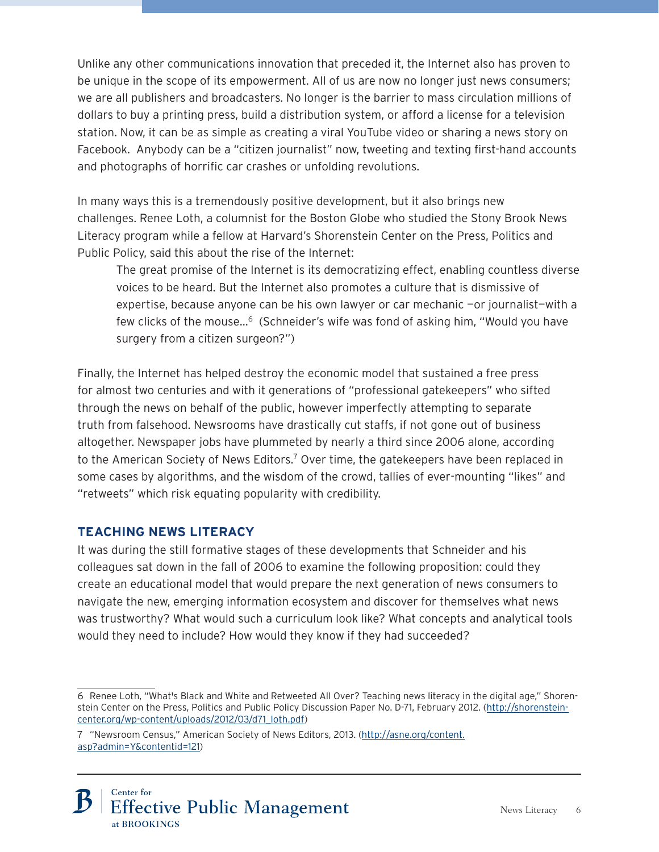Unlike any other communications innovation that preceded it, the Internet also has proven to be unique in the scope of its empowerment. All of us are now no longer just news consumers; we are all publishers and broadcasters. No longer is the barrier to mass circulation millions of dollars to buy a printing press, build a distribution system, or afford a license for a television station. Now, it can be as simple as creating a viral YouTube video or sharing a news story on Facebook. Anybody can be a "citizen journalist" now, tweeting and texting first-hand accounts and photographs of horrific car crashes or unfolding revolutions.

In many ways this is a tremendously positive development, but it also brings new challenges. Renee Loth, a columnist for the Boston Globe who studied the Stony Brook News Literacy program while a fellow at Harvard's Shorenstein Center on the Press, Politics and Public Policy, said this about the rise of the Internet:

The great promise of the Internet is its democratizing effect, enabling countless diverse voices to be heard. But the Internet also promotes a culture that is dismissive of expertise, because anyone can be his own lawyer or car mechanic —or journalist—with a few clicks of the mouse...<sup>6</sup> (Schneider's wife was fond of asking him, "Would you have surgery from a citizen surgeon?")

Finally, the Internet has helped destroy the economic model that sustained a free press for almost two centuries and with it generations of "professional gatekeepers" who sifted through the news on behalf of the public, however imperfectly attempting to separate truth from falsehood. Newsrooms have drastically cut staffs, if not gone out of business altogether. Newspaper jobs have plummeted by nearly a third since 2006 alone, according to the American Society of News Editors.<sup>7</sup> Over time, the gatekeepers have been replaced in some cases by algorithms, and the wisdom of the crowd, tallies of ever-mounting "likes" and "retweets" which risk equating popularity with credibility.

### **TEACHING NEWS LITERACY**

It was during the still formative stages of these developments that Schneider and his colleagues sat down in the fall of 2006 to examine the following proposition: could they create an educational model that would prepare the next generation of news consumers to navigate the new, emerging information ecosystem and discover for themselves what news was trustworthy? What would such a curriculum look like? What concepts and analytical tools would they need to include? How would they know if they had succeeded?

<sup>7 &</sup>quot;Newsroom Census," American Society of News Editors, 2013. [\(http://asne.org/content.](http://asne.org/content.asp?admin=Y&contentid=121) [asp?admin=Y&contentid=121\)](http://asne.org/content.asp?admin=Y&contentid=121)



<sup>6</sup> Renee Loth, "What's Black and White and Retweeted All Over? Teaching news literacy in the digital age," Shorenstein Center on the Press, Politics and Public Policy Discussion Paper No. D-71, February 2012. [\(http://shorenstein](http://shorensteincenter.org/wp-content/uploads/2012/03/d71_loth.pdf)[center.org/wp-content/uploads/2012/03/d71\\_loth.pdf\)](http://shorensteincenter.org/wp-content/uploads/2012/03/d71_loth.pdf)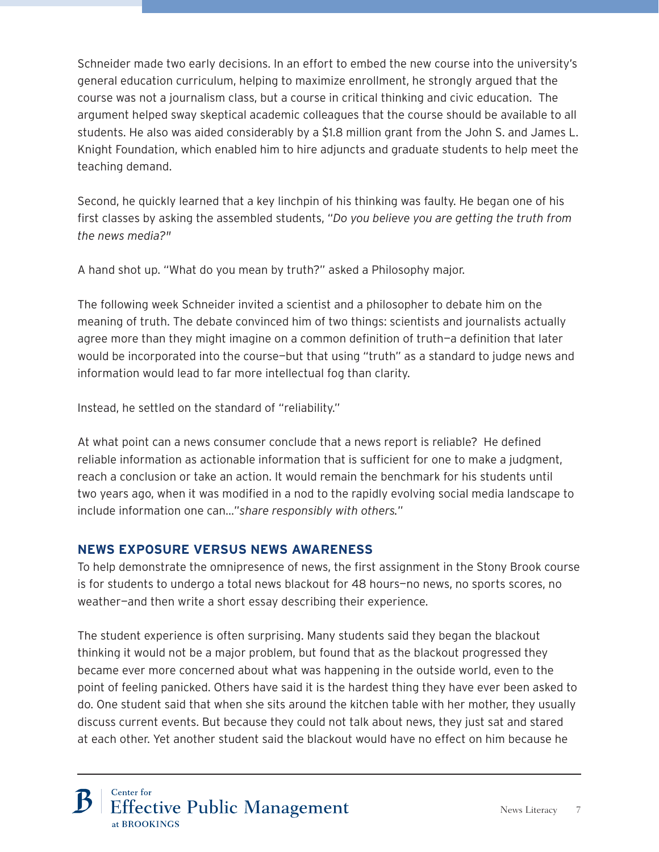Schneider made two early decisions. In an effort to embed the new course into the university's general education curriculum, helping to maximize enrollment, he strongly argued that the course was not a journalism class, but a course in critical thinking and civic education. The argument helped sway skeptical academic colleagues that the course should be available to all students. He also was aided considerably by a \$1.8 million grant from the John S. and James L. Knight Foundation, which enabled him to hire adjuncts and graduate students to help meet the teaching demand.

Second, he quickly learned that a key linchpin of his thinking was faulty. He began one of his first classes by asking the assembled students, "*Do you believe you are getting the truth from the news media?"*

A hand shot up. "What do you mean by truth?" asked a Philosophy major.

The following week Schneider invited a scientist and a philosopher to debate him on the meaning of truth. The debate convinced him of two things: scientists and journalists actually agree more than they might imagine on a common definition of truth—a definition that later would be incorporated into the course—but that using "truth" as a standard to judge news and information would lead to far more intellectual fog than clarity.

Instead, he settled on the standard of "reliability."

At what point can a news consumer conclude that a news report is reliable? He defined reliable information as actionable information that is sufficient for one to make a judgment, reach a conclusion or take an action. It would remain the benchmark for his students until two years ago, when it was modified in a nod to the rapidly evolving social media landscape to include information one can…"*share responsibly with others.*"

### **NEWS EXPOSURE VERSUS NEWS AWARENESS**

To help demonstrate the omnipresence of news, the first assignment in the Stony Brook course is for students to undergo a total news blackout for 48 hours—no news, no sports scores, no weather—and then write a short essay describing their experience.

The student experience is often surprising. Many students said they began the blackout thinking it would not be a major problem, but found that as the blackout progressed they became ever more concerned about what was happening in the outside world, even to the point of feeling panicked. Others have said it is the hardest thing they have ever been asked to do. One student said that when she sits around the kitchen table with her mother, they usually discuss current events. But because they could not talk about news, they just sat and stared at each other. Yet another student said the blackout would have no effect on him because he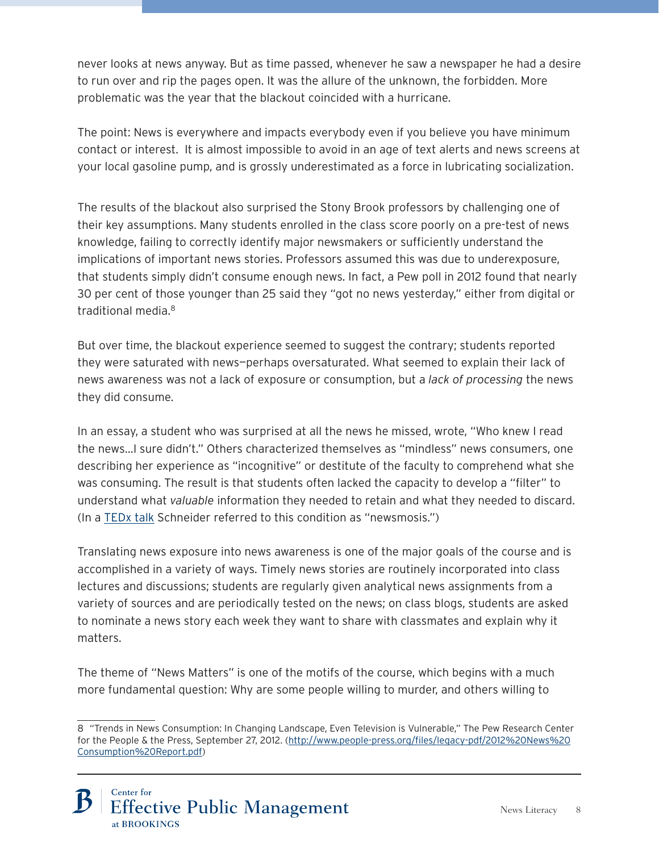never looks at news anyway. But as time passed, whenever he saw a newspaper he had a desire to run over and rip the pages open. It was the allure of the unknown, the forbidden. More problematic was the year that the blackout coincided with a hurricane.

The point: News is everywhere and impacts everybody even if you believe you have minimum contact or interest. It is almost impossible to avoid in an age of text alerts and news screens at your local gasoline pump, and is grossly underestimated as a force in lubricating socialization.

The results of the blackout also surprised the Stony Brook professors by challenging one of their key assumptions. Many students enrolled in the class score poorly on a pre-test of news knowledge, failing to correctly identify major newsmakers or sufficiently understand the implications of important news stories. Professors assumed this was due to underexposure, that students simply didn't consume enough news. In fact, a Pew poll in 2012 found that nearly 30 per cent of those younger than 25 said they "got no news yesterday," either from digital or traditional media.<sup>8</sup>

But over time, the blackout experience seemed to suggest the contrary; students reported they were saturated with news—perhaps oversaturated. What seemed to explain their lack of news awareness was not a lack of exposure or consumption, but a *lack of processing* the news they did consume.

In an essay, a student who was surprised at all the news he missed, wrote, "Who knew I read the news…I sure didn't." Others characterized themselves as "mindless" news consumers, one describing her experience as "incognitive" or destitute of the faculty to comprehend what she was consuming. The result is that students often lacked the capacity to develop a "filter" to understand what *valuable* information they needed to retain and what they needed to discard. (In a [TEDx talk](http://tedxtalks.ted.com/video/Finding-a-cure-for-newsmosis-a;search%3Atag%3A%22tedxsbu%22) Schneider referred to this condition as "newsmosis.")

Translating news exposure into news awareness is one of the major goals of the course and is accomplished in a variety of ways. Timely news stories are routinely incorporated into class lectures and discussions; students are regularly given analytical news assignments from a variety of sources and are periodically tested on the news; on class blogs, students are asked to nominate a news story each week they want to share with classmates and explain why it matters.

The theme of "News Matters" is one of the motifs of the course, which begins with a much more fundamental question: Why are some people willing to murder, and others willing to

<sup>8 &</sup>quot;Trends in News Consumption: In Changing Landscape, Even Television is Vulnerable," The Pew Research Center for the People & the Press, September 27, 2012. [\(http://www.people-press.org/files/legacy-pdf/2012%20News%20](http://www.people-press.org/files/legacy-pdf/2012%20News%20Consumption%20Report.pdf) [Consumption%20Report.pdf\)](http://www.people-press.org/files/legacy-pdf/2012%20News%20Consumption%20Report.pdf)

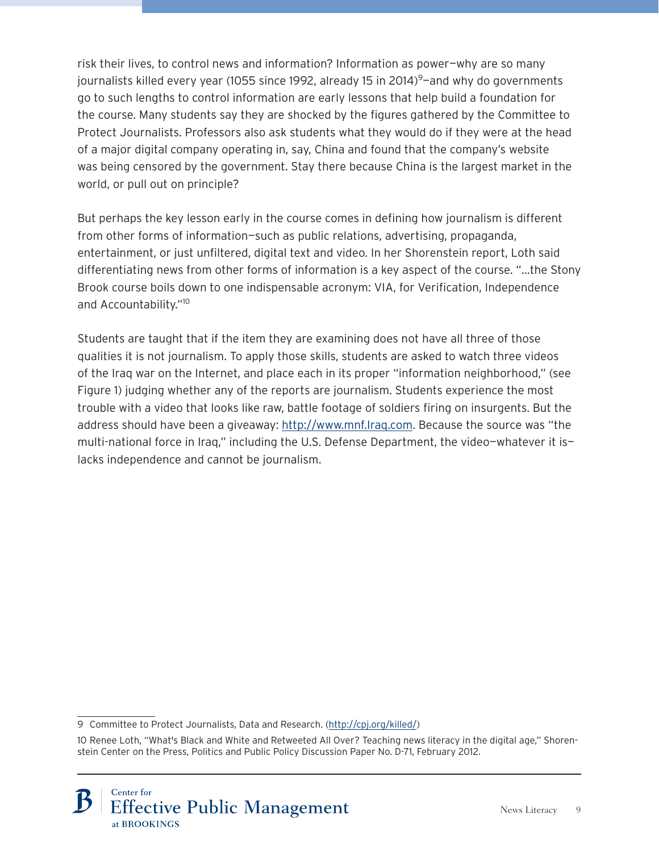risk their lives, to control news and information? Information as power—why are so many journalists killed every year (1055 since 1992, already 15 in 2014)<sup>9</sup>-and why do governments go to such lengths to control information are early lessons that help build a foundation for the course. Many students say they are shocked by the figures gathered by the Committee to Protect Journalists. Professors also ask students what they would do if they were at the head of a major digital company operating in, say, China and found that the company's website was being censored by the government. Stay there because China is the largest market in the world, or pull out on principle?

But perhaps the key lesson early in the course comes in defining how journalism is different from other forms of information—such as public relations, advertising, propaganda, entertainment, or just unfiltered, digital text and video. In her Shorenstein report, Loth said differentiating news from other forms of information is a key aspect of the course. "…the Stony Brook course boils down to one indispensable acronym: VIA, for Verification, Independence and Accountability."10

Students are taught that if the item they are examining does not have all three of those qualities it is not journalism. To apply those skills, students are asked to watch three videos of the Iraq war on the Internet, and place each in its proper "information neighborhood," (see Figure 1) judging whether any of the reports are journalism. Students experience the most trouble with a video that looks like raw, battle footage of soldiers firing on insurgents. But the address should have been a giveaway: [http://www.mnf.Iraq.com.](http://www.mnf.Iraq.com) Because the source was "the multi-national force in Iraq," including the U.S. Defense Department, the video—whatever it is lacks independence and cannot be journalism.

<sup>9</sup> Committee to Protect Journalists, Data and Research. (<http://cpj.org/killed/>)

<sup>10</sup> Renee Loth, "What's Black and White and Retweeted All Over? Teaching news literacy in the digital age," Shorenstein Center on the Press, Politics and Public Policy Discussion Paper No. D-71, February 2012.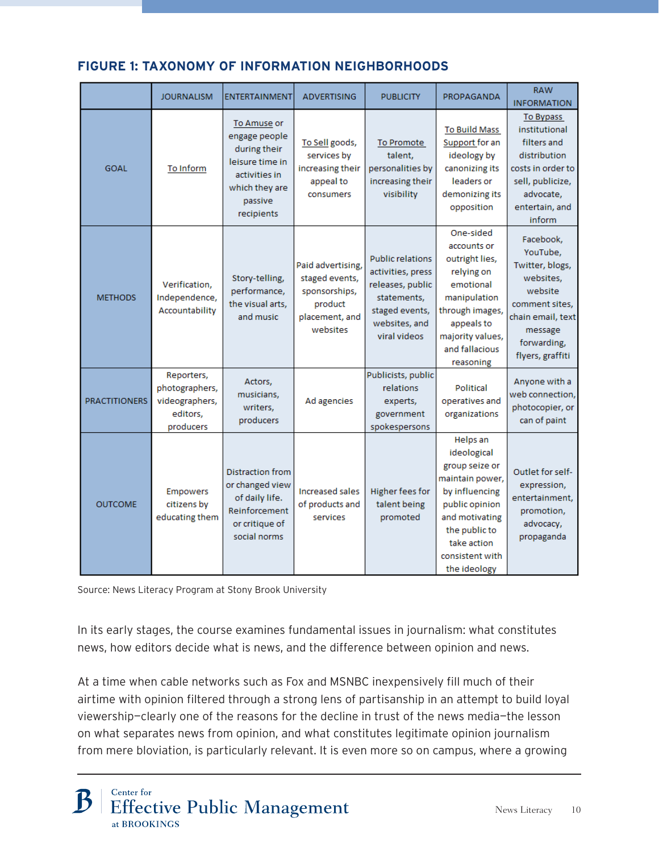## **FIGURE 1: TAXONOMY OF INFORMATION NEIGHBORHOODS**

|                      | <b>JOURNALISM</b>                                                       | <b>ENTERTAINMENT</b>                                                                                                        | <b>ADVERTISING</b>                                                                            | <b>PUBLICITY</b>                                                                                                                   | PROPAGANDA                                                                                                                                                                                   | <b>RAW</b><br><b>INFORMATION</b>                                                                                                                      |
|----------------------|-------------------------------------------------------------------------|-----------------------------------------------------------------------------------------------------------------------------|-----------------------------------------------------------------------------------------------|------------------------------------------------------------------------------------------------------------------------------------|----------------------------------------------------------------------------------------------------------------------------------------------------------------------------------------------|-------------------------------------------------------------------------------------------------------------------------------------------------------|
| <b>GOAL</b>          | To Inform                                                               | To Amuse or<br>engage people<br>during their<br>leisure time in<br>activities in<br>which they are<br>passive<br>recipients | To Sell goods,<br>services by<br>increasing their<br>appeal to<br>consumers                   | To Promote<br>talent,<br>personalities by<br>increasing their<br>visibility                                                        | To Build Mass<br>Support for an<br>ideology by<br>canonizing its<br>leaders or<br>demonizing its<br>opposition                                                                               | To Bypass<br>institutional<br>filters and<br>distribution<br>costs in order to<br>sell, publicize,<br>advocate,<br>entertain, and<br>inform           |
| <b>METHODS</b>       | Verification.<br>Independence,<br>Accountability                        | Story-telling,<br>performance,<br>the visual arts,<br>and music                                                             | Paid advertising,<br>staged events,<br>sponsorships,<br>product<br>placement, and<br>websites | <b>Public relations</b><br>activities, press<br>releases, public<br>statements,<br>staged events,<br>websites, and<br>viral videos | One-sided<br>accounts or<br>outright lies,<br>relying on<br>emotional<br>manipulation<br>through images,<br>appeals to<br>majority values,<br>and fallacious<br>reasoning                    | Facebook,<br>YouTube,<br>Twitter, blogs,<br>websites,<br>website<br>comment sites,<br>chain email, text<br>message<br>forwarding,<br>flyers, graffiti |
| <b>PRACTITIONERS</b> | Reporters,<br>photographers,<br>videographers,<br>editors,<br>producers | Actors,<br>musicians,<br>writers,<br>producers                                                                              | Ad agencies                                                                                   | Publicists, public<br>relations<br>experts,<br>government<br>spokespersons                                                         | Political<br>operatives and<br>organizations                                                                                                                                                 | Anyone with a<br>web connection,<br>photocopier, or<br>can of paint                                                                                   |
| <b>OUTCOME</b>       | Empowers<br>citizens by<br>educating them                               | <b>Distraction from</b><br>or changed view<br>of daily life.<br>Reinforcement<br>or critique of<br>social norms             | Increased sales<br>of products and<br>services                                                | <b>Higher fees for</b><br>talent being<br>promoted                                                                                 | <b>Helps</b> an<br>ideological<br>group seize or<br>maintain power,<br>by influencing<br>public opinion<br>and motivating<br>the public to<br>take action<br>consistent with<br>the ideology | Outlet for self-<br>expression,<br>entertainment,<br>promotion,<br>advocacy,<br>propaganda                                                            |

Source: News Literacy Program at Stony Brook University

In its early stages, the course examines fundamental issues in journalism: what constitutes news, how editors decide what is news, and the difference between opinion and news.

At a time when cable networks such as Fox and MSNBC inexpensively fill much of their airtime with opinion filtered through a strong lens of partisanship in an attempt to build loyal viewership—clearly one of the reasons for the decline in trust of the news media—the lesson on what separates news from opinion, and what constitutes legitimate opinion journalism from mere bloviation, is particularly relevant. It is even more so on campus, where a growing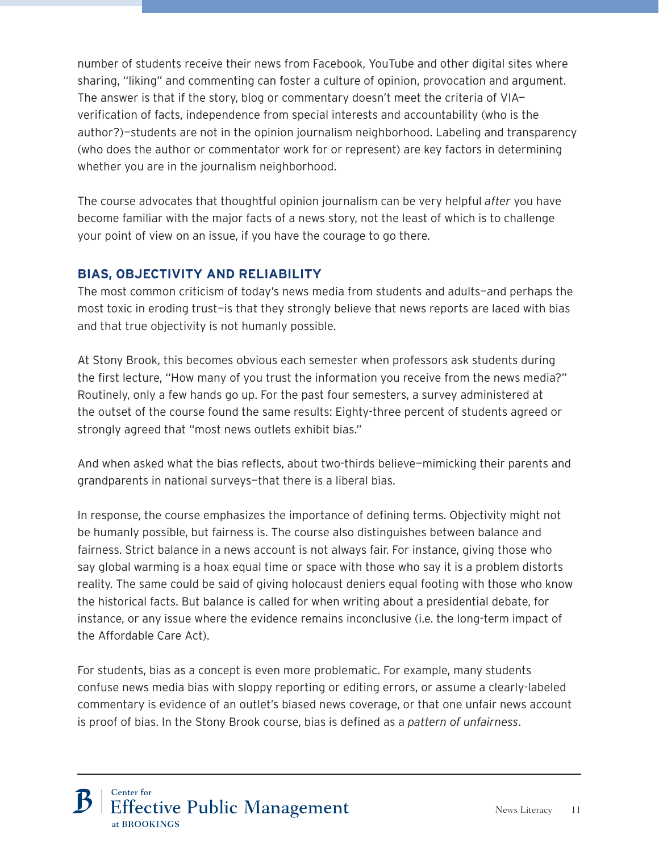number of students receive their news from Facebook, YouTube and other digital sites where sharing, "liking" and commenting can foster a culture of opinion, provocation and argument. The answer is that if the story, blog or commentary doesn't meet the criteria of VIA verification of facts, independence from special interests and accountability (who is the author?)—students are not in the opinion journalism neighborhood. Labeling and transparency (who does the author or commentator work for or represent) are key factors in determining whether you are in the journalism neighborhood.

The course advocates that thoughtful opinion journalism can be very helpful *after* you have become familiar with the major facts of a news story, not the least of which is to challenge your point of view on an issue, if you have the courage to go there.

## **BIAS, OBJECTIVITY AND RELIABILITY**

The most common criticism of today's news media from students and adults—and perhaps the most toxic in eroding trust—is that they strongly believe that news reports are laced with bias and that true objectivity is not humanly possible.

At Stony Brook, this becomes obvious each semester when professors ask students during the first lecture, "How many of you trust the information you receive from the news media?" Routinely, only a few hands go up. For the past four semesters, a survey administered at the outset of the course found the same results: Eighty-three percent of students agreed or strongly agreed that "most news outlets exhibit bias."

And when asked what the bias reflects, about two-thirds believe—mimicking their parents and grandparents in national surveys—that there is a liberal bias.

In response, the course emphasizes the importance of defining terms. Objectivity might not be humanly possible, but fairness is. The course also distinguishes between balance and fairness. Strict balance in a news account is not always fair. For instance, giving those who say global warming is a hoax equal time or space with those who say it is a problem distorts reality. The same could be said of giving holocaust deniers equal footing with those who know the historical facts. But balance is called for when writing about a presidential debate, for instance, or any issue where the evidence remains inconclusive (i.e. the long-term impact of the Affordable Care Act).

For students, bias as a concept is even more problematic. For example, many students confuse news media bias with sloppy reporting or editing errors, or assume a clearly-labeled commentary is evidence of an outlet's biased news coverage, or that one unfair news account is proof of bias. In the Stony Brook course, bias is defined as a *pattern of unfairness*.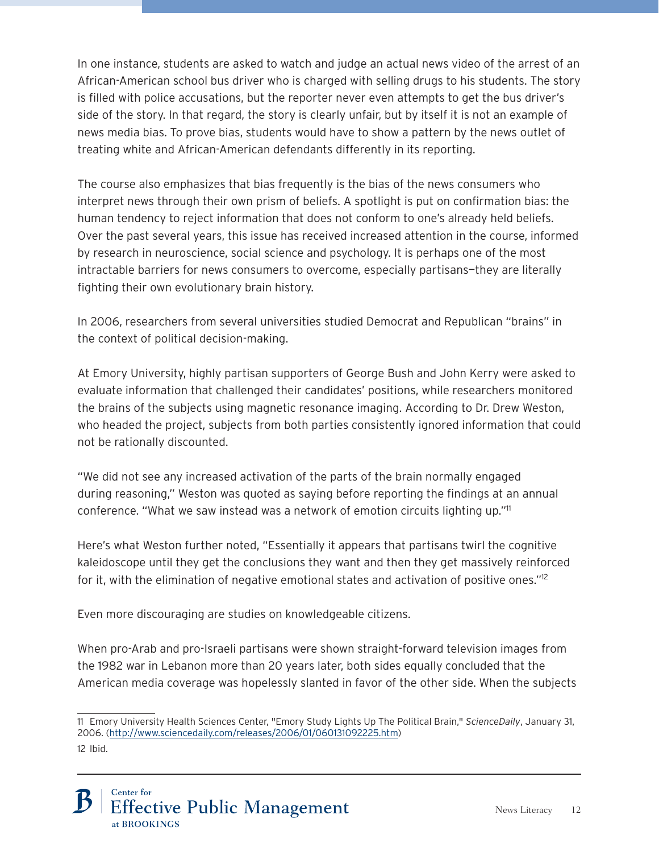In one instance, students are asked to watch and judge an actual news video of the arrest of an African-American school bus driver who is charged with selling drugs to his students. The story is filled with police accusations, but the reporter never even attempts to get the bus driver's side of the story. In that regard, the story is clearly unfair, but by itself it is not an example of news media bias. To prove bias, students would have to show a pattern by the news outlet of treating white and African-American defendants differently in its reporting.

The course also emphasizes that bias frequently is the bias of the news consumers who interpret news through their own prism of beliefs. A spotlight is put on confirmation bias: the human tendency to reject information that does not conform to one's already held beliefs. Over the past several years, this issue has received increased attention in the course, informed by research in neuroscience, social science and psychology. It is perhaps one of the most intractable barriers for news consumers to overcome, especially partisans—they are literally fighting their own evolutionary brain history.

In 2006, researchers from several universities studied Democrat and Republican "brains" in the context of political decision-making.

At Emory University, highly partisan supporters of George Bush and John Kerry were asked to evaluate information that challenged their candidates' positions, while researchers monitored the brains of the subjects using magnetic resonance imaging. According to Dr. Drew Weston, who headed the project, subjects from both parties consistently ignored information that could not be rationally discounted.

"We did not see any increased activation of the parts of the brain normally engaged during reasoning," Weston was quoted as saying before reporting the findings at an annual conference. "What we saw instead was a network of emotion circuits lighting up."11

Here's what Weston further noted, "Essentially it appears that partisans twirl the cognitive kaleidoscope until they get the conclusions they want and then they get massively reinforced for it, with the elimination of negative emotional states and activation of positive ones."12

Even more discouraging are studies on knowledgeable citizens.

When pro-Arab and pro-Israeli partisans were shown straight-forward television images from the 1982 war in Lebanon more than 20 years later, both sides equally concluded that the American media coverage was hopelessly slanted in favor of the other side. When the subjects

<sup>11</sup> Emory University Health Sciences Center, "Emory Study Lights Up The Political Brain," *ScienceDaily*, January 31, 2006. ([http://www.sciencedaily.com/releases/2006/01/060131092225.htm\)](http://www.sciencedaily.com/releases/2006/01/060131092225.htm) 12 Ibid.

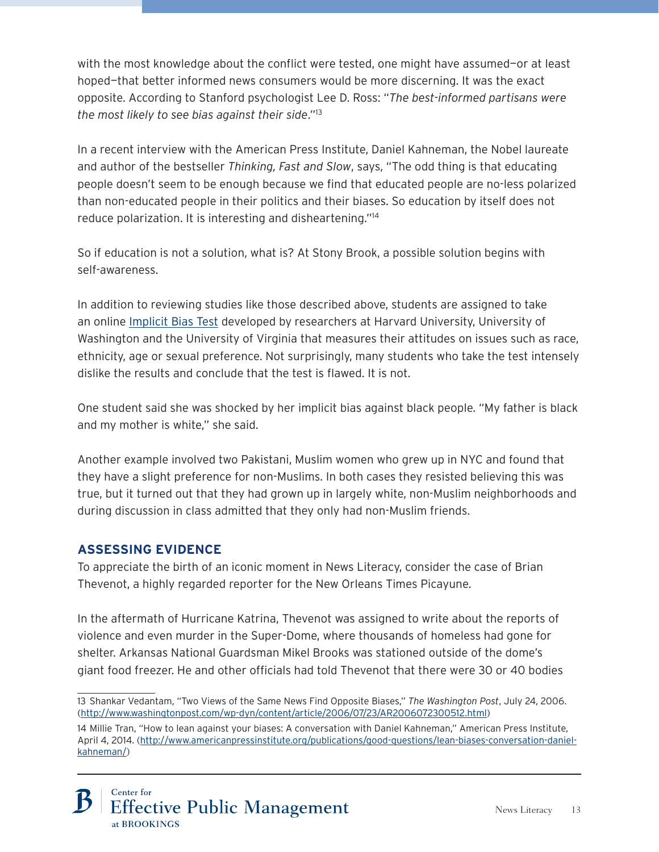with the most knowledge about the conflict were tested, one might have assumed—or at least hoped-that better informed news consumers would be more discerning. It was the exact opposite. According to Stanford psychologist Lee D. Ross: "*The best-informed partisans were the most likely to see bias against their side*."13

In a recent interview with the American Press Institute, Daniel Kahneman, the Nobel laureate and author of the bestseller *Thinking, Fast and Slow*, says, "The odd thing is that educating people doesn't seem to be enough because we find that educated people are no-less polarized than non-educated people in their politics and their biases. So education by itself does not reduce polarization. It is interesting and disheartening."14

So if education is not a solution, what is? At Stony Brook, a possible solution begins with self-awareness.

In addition to reviewing studies like those described above, students are assigned to take an [online Implicit Bias Test](https://implicit.harvard.edu/implicit/) developed by researchers at Harvard University, University of Washington and the University of Virginia that measures their attitudes on issues such as race, ethnicity, age or sexual preference. Not surprisingly, many students who take the test intensely dislike the results and conclude that the test is flawed. It is not.

One student said she was shocked by her implicit bias against black people. "My father is black and my mother is white," she said.

Another example involved two Pakistani, Muslim women who grew up in NYC and found that they have a slight preference for non-Muslims. In both cases they resisted believing this was true, but it turned out that they had grown up in largely white, non-Muslim neighborhoods and during discussion in class admitted that they only had non-Muslim friends.

### **ASSESSING EVIDENCE**

To appreciate the birth of an iconic moment in News Literacy, consider the case of Brian Thevenot, a highly regarded reporter for the New Orleans Times Picayune.

In the aftermath of Hurricane Katrina, Thevenot was assigned to write about the reports of violence and even murder in the Super-Dome, where thousands of homeless had gone for shelter. Arkansas National Guardsman Mikel Brooks was stationed outside of the dome's giant food freezer. He and other officials had told Thevenot that there were 30 or 40 bodies

<sup>14</sup> Millie Tran, "How to lean against your biases: A conversation with Daniel Kahneman," American Press Institute, April 4, 2014. [\(http://www.americanpressinstitute.org/publications/good-questions/lean-biases-conversation-daniel](http://www.americanpressinstitute.org/publications/good-questions/lean-biases-conversation-daniel-kahneman/)[kahneman/\)](http://www.americanpressinstitute.org/publications/good-questions/lean-biases-conversation-daniel-kahneman/)



<sup>13</sup> Shankar Vedantam, "Two Views of the Same News Find Opposite Biases," *The Washington Post*, July 24, 2006. [\(http://www.washingtonpost.com/wp-dyn/content/article/2006/07/23/AR2006072300512.html\)](http://www.washingtonpost.com/wp-dyn/content/article/2006/07/23/AR2006072300512.html)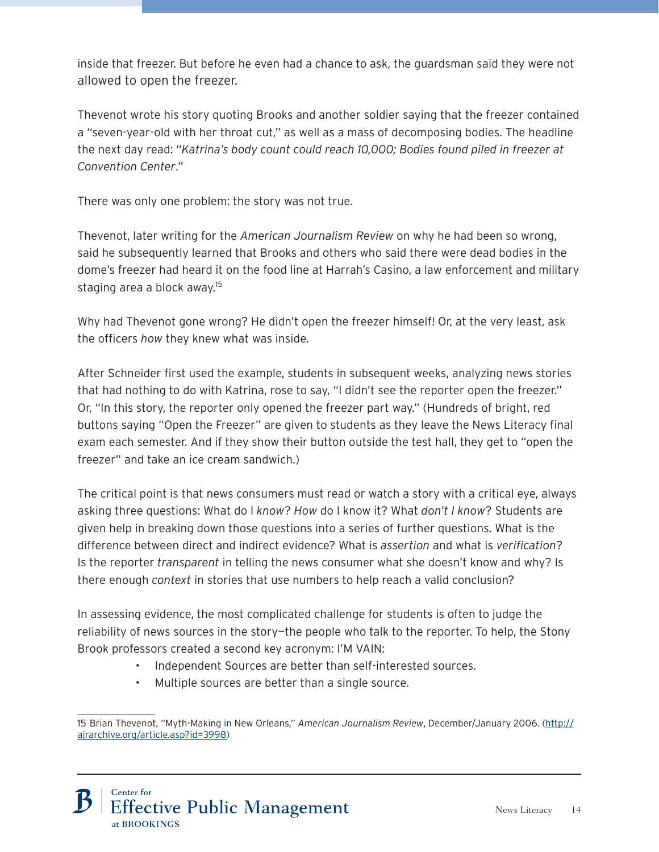inside that freezer. But before he even had a chance to ask, the guardsman said they were not allowed to open the freezer.

Thevenot wrote his story quoting Brooks and another soldier saying that the freezer contained a "seven-year-old with her throat cut," as well as a mass of decomposing bodies. The headline the next day read: "*Katrina's body count could reach 10,000; Bodies found piled in freezer at Convention Center*."

There was only one problem: the story was not true.

Thevenot, later writing for the *American Journalism Review* on why he had been so wrong, said he subsequently learned that Brooks and others who said there were dead bodies in the dome's freezer had heard it on the food line at Harrah's Casino, a law enforcement and military staging area a block away.<sup>15</sup>

Why had Thevenot gone wrong? He didn't open the freezer himself! Or, at the very least, ask the officers *how* they knew what was inside.

After Schneider first used the example, students in subsequent weeks, analyzing news stories that had nothing to do with Katrina, rose to say, "I didn't see the reporter open the freezer." Or, "In this story, the reporter only opened the freezer part way." (Hundreds of bright, red buttons saying "Open the Freezer" are given to students as they leave the News Literacy final exam each semester. And if they show their button outside the test hall, they get to "open the freezer" and take an ice cream sandwich.)

The critical point is that news consumers must read or watch a story with a critical eye, always asking three questions: What do I *know*? *How* do I know it? What *don't I know*? Students are given help in breaking down those questions into a series of further questions. What is the difference between direct and indirect evidence? What is *assertion* and what is *verification*? Is the reporter *transparent* in telling the news consumer what she doesn't know and why? Is there enough *context* in stories that use numbers to help reach a valid conclusion?

In assessing evidence, the most complicated challenge for students is often to judge the reliability of news sources in the story—the people who talk to the reporter. To help, the Stony Brook professors created a second key acronym: I'M VAIN:

- Independent Sources are better than self-interested sources.
- Multiple sources are better than a single source.

<sup>15</sup> Brian Thevenot, "Myth-Making in New Orleans," *American Journalism Review*, December/January 2006. [\(http://](http://ajrarchive.org/article.asp?id=3998) [ajrarchive.org/article.asp?id=3998](http://ajrarchive.org/article.asp?id=3998))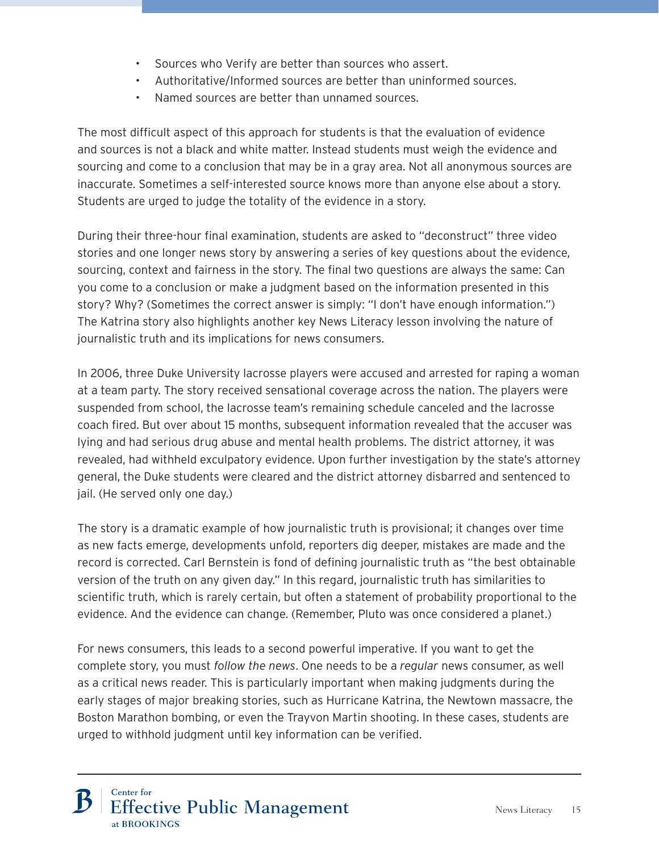- Sources who Verify are better than sources who assert.
- Authoritative/Informed sources are better than uninformed sources.
- Named sources are better than unnamed sources.

The most difficult aspect of this approach for students is that the evaluation of evidence and sources is not a black and white matter. Instead students must weigh the evidence and sourcing and come to a conclusion that may be in a gray area. Not all anonymous sources are inaccurate. Sometimes a self-interested source knows more than anyone else about a story. Students are urged to judge the totality of the evidence in a story.

During their three-hour final examination, students are asked to "deconstruct" three video stories and one longer news story by answering a series of key questions about the evidence, sourcing, context and fairness in the story. The final two questions are always the same: Can you come to a conclusion or make a judgment based on the information presented in this story? Why? (Sometimes the correct answer is simply: "I don't have enough information.") The Katrina story also highlights another key News Literacy lesson involving the nature of journalistic truth and its implications for news consumers.

In 2006, three Duke University lacrosse players were accused and arrested for raping a woman at a team party. The story received sensational coverage across the nation. The players were suspended from school, the lacrosse team's remaining schedule canceled and the lacrosse coach fired. But over about 15 months, subsequent information revealed that the accuser was lying and had serious drug abuse and mental health problems. The district attorney, it was revealed, had withheld exculpatory evidence. Upon further investigation by the state's attorney general, the Duke students were cleared and the district attorney disbarred and sentenced to jail. (He served only one day.)

The story is a dramatic example of how journalistic truth is provisional; it changes over time as new facts emerge, developments unfold, reporters dig deeper, mistakes are made and the record is corrected. Carl Bernstein is fond of defining journalistic truth as "the best obtainable version of the truth on any given day." In this regard, journalistic truth has similarities to scientific truth, which is rarely certain, but often a statement of probability proportional to the evidence. And the evidence can change. (Remember, Pluto was once considered a planet.)

For news consumers, this leads to a second powerful imperative. If you want to get the complete story, you must *follow the news*. One needs to be a *regular* news consumer, as well as a critical news reader. This is particularly important when making judgments during the early stages of major breaking stories, such as Hurricane Katrina, the Newtown massacre, the Boston Marathon bombing, or even the Trayvon Martin shooting. In these cases, students are urged to withhold judgment until key information can be verified.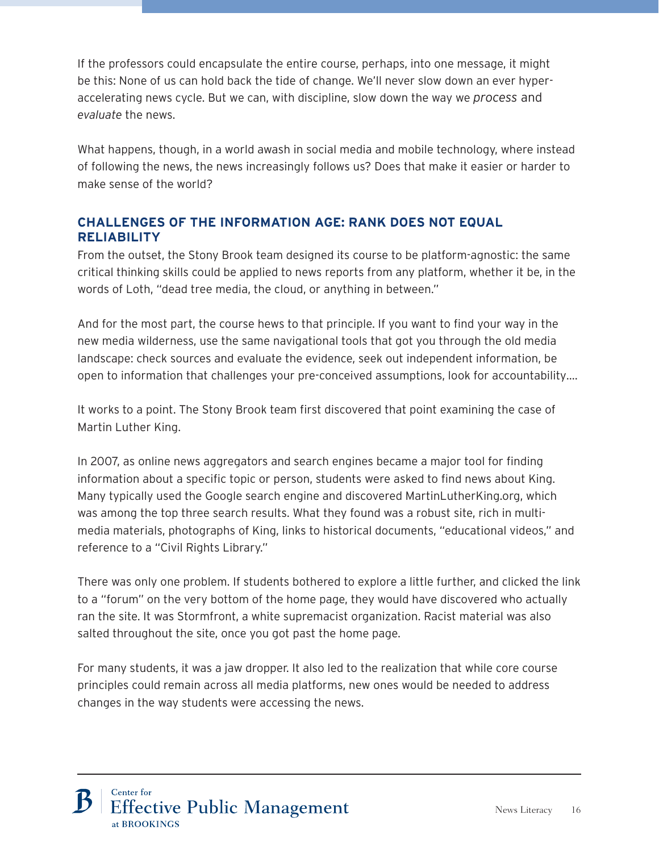If the professors could encapsulate the entire course, perhaps, into one message, it might be this: None of us can hold back the tide of change. We'll never slow down an ever hyperaccelerating news cycle. But we can, with discipline, slow down the way we *process* and *evaluate* the news.

What happens, though, in a world awash in social media and mobile technology, where instead of following the news, the news increasingly follows us? Does that make it easier or harder to make sense of the world?

## **CHALLENGES OF THE INFORMATION AGE: RANK DOES NOT EQUAL RELIABILITY**

From the outset, the Stony Brook team designed its course to be platform-agnostic: the same critical thinking skills could be applied to news reports from any platform, whether it be, in the words of Loth, "dead tree media, the cloud, or anything in between."

And for the most part, the course hews to that principle. If you want to find your way in the new media wilderness, use the same navigational tools that got you through the old media landscape: check sources and evaluate the evidence, seek out independent information, be open to information that challenges your pre-conceived assumptions, look for accountability….

It works to a point. The Stony Brook team first discovered that point examining the case of Martin Luther King.

In 2007, as online news aggregators and search engines became a major tool for finding information about a specific topic or person, students were asked to find news about King. Many typically used the Google search engine and discovered MartinLutherKing.org, which was among the top three search results. What they found was a robust site, rich in multimedia materials, photographs of King, links to historical documents, "educational videos," and reference to a "Civil Rights Library."

There was only one problem. If students bothered to explore a little further, and clicked the link to a "forum" on the very bottom of the home page, they would have discovered who actually ran the site. It was Stormfront, a white supremacist organization. Racist material was also salted throughout the site, once you got past the home page.

For many students, it was a jaw dropper. It also led to the realization that while core course principles could remain across all media platforms, new ones would be needed to address changes in the way students were accessing the news.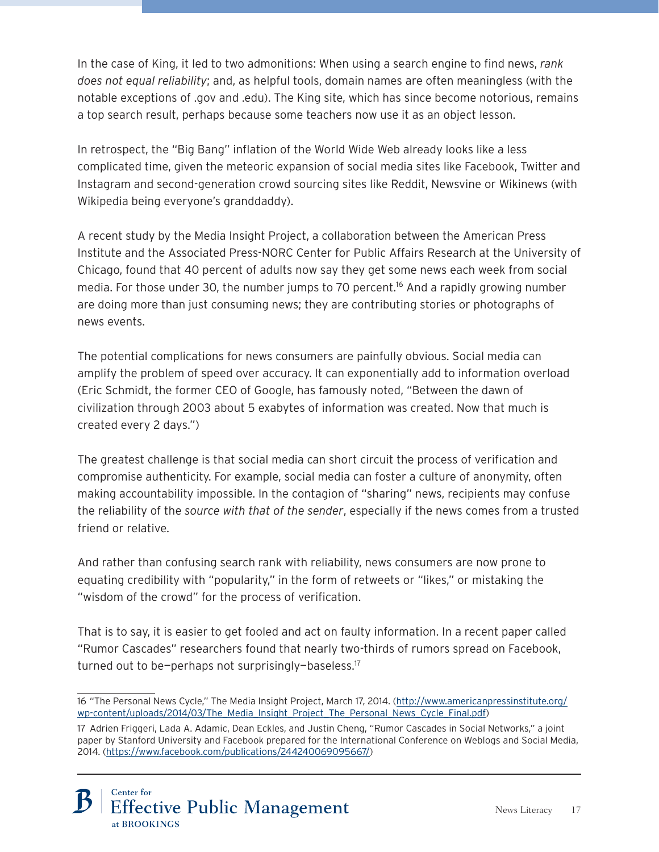In the case of King, it led to two admonitions: When using a search engine to find news, *rank does not equal reliability*; and, as helpful tools, domain names are often meaningless (with the notable exceptions of .gov and .edu). The King site, which has since become notorious, remains a top search result, perhaps because some teachers now use it as an object lesson.

In retrospect, the "Big Bang" inflation of the World Wide Web already looks like a less complicated time, given the meteoric expansion of social media sites like Facebook, Twitter and Instagram and second-generation crowd sourcing sites like Reddit, Newsvine or Wikinews (with Wikipedia being everyone's granddaddy).

A recent study by the Media Insight Project, a collaboration between the American Press Institute and the Associated Press-NORC Center for Public Affairs Research at the University of Chicago, found that 40 percent of adults now say they get some news each week from social media. For those under 30, the number jumps to 70 percent.<sup>16</sup> And a rapidly growing number are doing more than just consuming news; they are contributing stories or photographs of news events.

The potential complications for news consumers are painfully obvious. Social media can amplify the problem of speed over accuracy. It can exponentially add to information overload (Eric Schmidt, the former CEO of Google, has famously noted, "Between the dawn of civilization through 2003 about 5 exabytes of information was created. Now that much is created every 2 days.")

The greatest challenge is that social media can short circuit the process of verification and compromise authenticity. For example, social media can foster a culture of anonymity, often making accountability impossible. In the contagion of "sharing" news, recipients may confuse the reliability of the *source with that of the sender*, especially if the news comes from a trusted friend or relative.

And rather than confusing search rank with reliability, news consumers are now prone to equating credibility with "popularity," in the form of retweets or "likes," or mistaking the "wisdom of the crowd" for the process of verification.

That is to say, it is easier to get fooled and act on faulty information. In a recent paper called "Rumor Cascades" researchers found that nearly two-thirds of rumors spread on Facebook, turned out to be-perhaps not surprisingly-baseless.<sup>17</sup>

<sup>17</sup> Adrien Friggeri, Lada A. Adamic, Dean Eckles, and Justin Cheng, "Rumor Cascades in Social Networks," a joint paper by Stanford University and Facebook prepared for the International Conference on Weblogs and Social Media, 2014. ([https://www.facebook.com/publications/244240069095667/\)](https://www.facebook.com/publications/244240069095667/)



<sup>16 &</sup>quot;The Personal News Cycle," The Media Insight Project, March 17, 2014. [\(http://www.americanpressinstitute.org/](http://www.americanpressinstitute.org/wp-content/uploads/2014/03/The_Media_Insight_Project_The_Personal_News_Cycle_Final.pdf) wp-content/uploads/2014/03/The Media Insight Project The Personal News Cycle Final.pdf)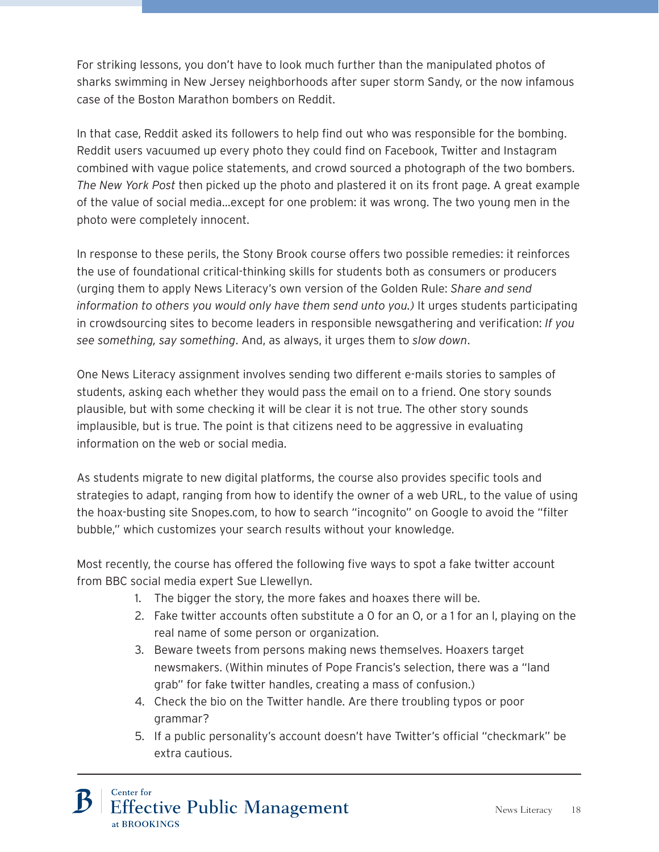For striking lessons, you don't have to look much further than the manipulated photos of sharks swimming in New Jersey neighborhoods after super storm Sandy, or the now infamous case of the Boston Marathon bombers on Reddit.

In that case, Reddit asked its followers to help find out who was responsible for the bombing. Reddit users vacuumed up every photo they could find on Facebook, Twitter and Instagram combined with vague police statements, and crowd sourced a photograph of the two bombers. *The New York Post* then picked up the photo and plastered it on its front page. A great example of the value of social media…except for one problem: it was wrong. The two young men in the photo were completely innocent.

In response to these perils, the Stony Brook course offers two possible remedies: it reinforces the use of foundational critical-thinking skills for students both as consumers or producers (urging them to apply News Literacy's own version of the Golden Rule: *Share and send information to others you would only have them send unto you.)* It urges students participating in crowdsourcing sites to become leaders in responsible newsgathering and verification: *If you see something, say something*. And, as always, it urges them to *slow down*.

One News Literacy assignment involves sending two different e-mails stories to samples of students, asking each whether they would pass the email on to a friend. One story sounds plausible, but with some checking it will be clear it is not true. The other story sounds implausible, but is true. The point is that citizens need to be aggressive in evaluating information on the web or social media.

As students migrate to new digital platforms, the course also provides specific tools and strategies to adapt, ranging from how to identify the owner of a web URL, to the value of using the hoax-busting site Snopes.com, to how to search "incognito" on Google to avoid the "filter bubble," which customizes your search results without your knowledge.

Most recently, the course has offered the following five ways to spot a fake twitter account from BBC social media expert Sue Llewellyn.

- 1. The bigger the story, the more fakes and hoaxes there will be.
- 2. Fake twitter accounts often substitute a 0 for an O, or a 1 for an l, playing on the real name of some person or organization.
- 3. Beware tweets from persons making news themselves. Hoaxers target newsmakers. (Within minutes of Pope Francis's selection, there was a "land grab" for fake twitter handles, creating a mass of confusion.)
- 4. Check the bio on the Twitter handle. Are there troubling typos or poor grammar?
- 5. If a public personality's account doesn't have Twitter's official "checkmark" be extra cautious.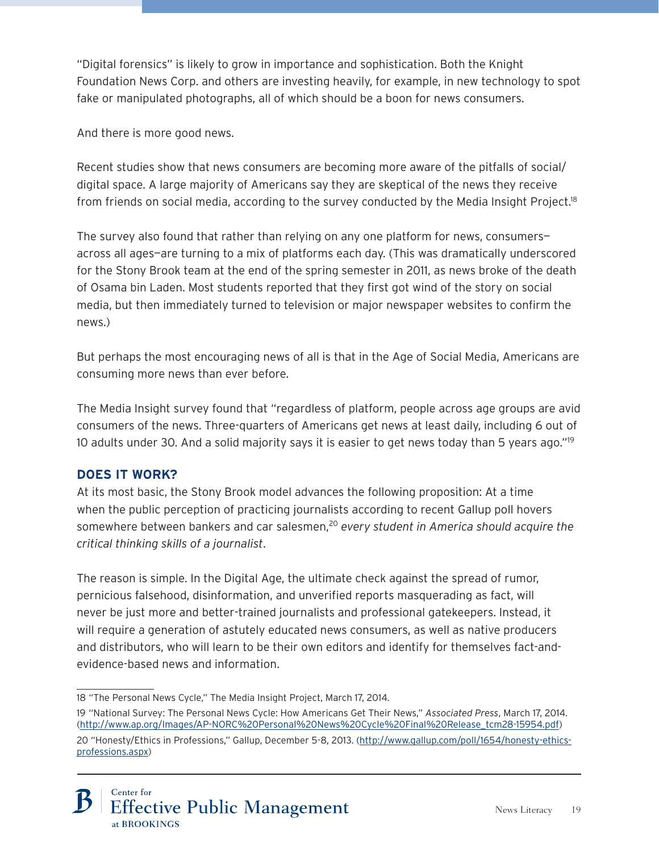"Digital forensics" is likely to grow in importance and sophistication. Both the Knight Foundation News Corp. and others are investing heavily, for example, in new technology to spot fake or manipulated photographs, all of which should be a boon for news consumers.

And there is more good news.

Recent studies show that news consumers are becoming more aware of the pitfalls of social/ digital space. A large majority of Americans say they are skeptical of the news they receive from friends on social media, according to the survey conducted by the Media Insight Project.18

The survey also found that rather than relying on any one platform for news, consumers across all ages—are turning to a mix of platforms each day. (This was dramatically underscored for the Stony Brook team at the end of the spring semester in 2011, as news broke of the death of Osama bin Laden. Most students reported that they first got wind of the story on social media, but then immediately turned to television or major newspaper websites to confirm the news.)

But perhaps the most encouraging news of all is that in the Age of Social Media, Americans are consuming more news than ever before.

The Media Insight survey found that "regardless of platform, people across age groups are avid consumers of the news. Three-quarters of Americans get news at least daily, including 6 out of 10 adults under 30. And a solid majority says it is easier to get news today than 5 years ago."<sup>19</sup>

### **DOES IT WORK?**

At its most basic, the Stony Brook model advances the following proposition: At a time when the public perception of practicing journalists according to recent Gallup poll hovers somewhere between bankers and car salesmen,<sup>20</sup> every student in America should acquire the *critical thinking skills of a journalist*.

The reason is simple. In the Digital Age, the ultimate check against the spread of rumor, pernicious falsehood, disinformation, and unverified reports masquerading as fact, will never be just more and better-trained journalists and professional gatekeepers. Instead, it will require a generation of astutely educated news consumers, as well as native producers and distributors, who will learn to be their own editors and identify for themselves fact-andevidence-based news and information.

<sup>20 &</sup>quot;Honesty/Ethics in Professions," Gallup, December 5-8, 2013. [\(http://www.gallup.com/poll/1654/honesty-ethics](http://www.gallup.com/poll/1654/honesty-ethics-professions.aspx)[professions.aspx\)](http://www.gallup.com/poll/1654/honesty-ethics-professions.aspx)



<sup>18 &</sup>quot;The Personal News Cycle," The Media Insight Project, March 17, 2014.

<sup>19 &</sup>quot;National Survey: The Personal News Cycle: How Americans Get Their News," *Associated Press*, March 17, 2014. [\(http://www.ap.org/Images/AP-NORC%20Personal%20News%20Cycle%20Final%20Release\\_tcm28-15954.pdf\)](http://www.ap.org/Images/AP-NORC%20Personal%20News%20Cycle%20Final%20Release_tcm28-15954.pdf)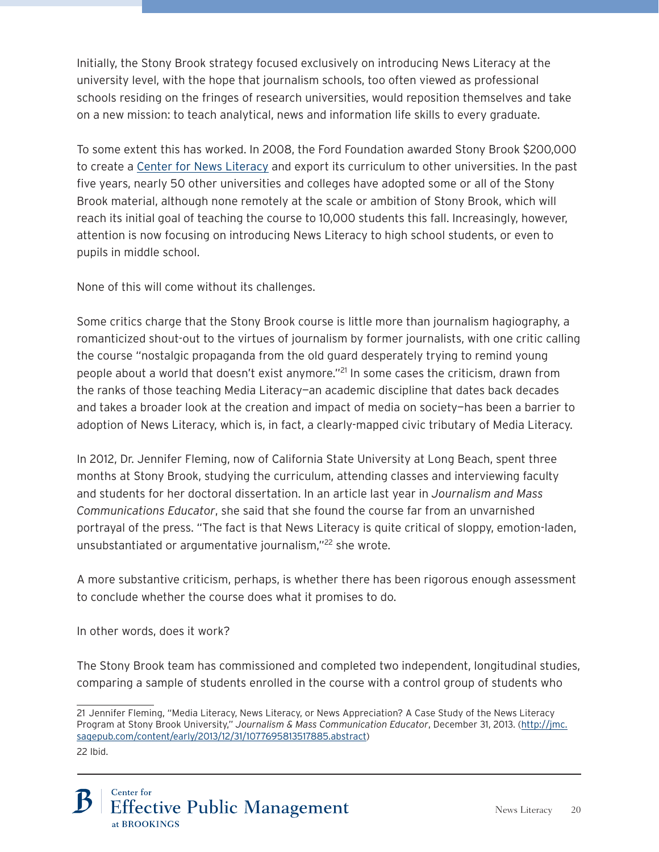Initially, the Stony Brook strategy focused exclusively on introducing News Literacy at the university level, with the hope that journalism schools, too often viewed as professional schools residing on the fringes of research universities, would reposition themselves and take on a new mission: to teach analytical, news and information life skills to every graduate.

To some extent this has worked. In 2008, the Ford Foundation awarded Stony Brook \$200,000 to create a [Center for News Literacy](http://www.centerfornewsliteracy.org) and export its curriculum to other universities. In the past five years, nearly 50 other universities and colleges have adopted some or all of the Stony Brook material, although none remotely at the scale or ambition of Stony Brook, which will reach its initial goal of teaching the course to 10,000 students this fall. Increasingly, however, attention is now focusing on introducing News Literacy to high school students, or even to pupils in middle school.

None of this will come without its challenges.

Some critics charge that the Stony Brook course is little more than journalism hagiography, a romanticized shout-out to the virtues of journalism by former journalists, with one critic calling the course "nostalgic propaganda from the old guard desperately trying to remind young people about a world that doesn't exist anymore."21 In some cases the criticism, drawn from the ranks of those teaching Media Literacy—an academic discipline that dates back decades and takes a broader look at the creation and impact of media on society—has been a barrier to adoption of News Literacy, which is, in fact, a clearly-mapped civic tributary of Media Literacy.

In 2012, Dr. Jennifer Fleming, now of California State University at Long Beach, spent three months at Stony Brook, studying the curriculum, attending classes and interviewing faculty and students for her doctoral dissertation. In an article last year in *Journalism and Mass Communications Educator*, she said that she found the course far from an unvarnished portrayal of the press. "The fact is that News Literacy is quite critical of sloppy, emotion-laden, unsubstantiated or argumentative journalism,"<sup>22</sup> she wrote.

A more substantive criticism, perhaps, is whether there has been rigorous enough assessment to conclude whether the course does what it promises to do.

In other words, does it work?

The Stony Brook team has commissioned and completed two independent, longitudinal studies, comparing a sample of students enrolled in the course with a control group of students who

<sup>21</sup> Jennifer Fleming, "Media Literacy, News Literacy, or News Appreciation? A Case Study of the News Literacy Program at Stony Brook University," *Journalism & Mass Communication Educator*, December 31, 2013. ([http://jmc.](http://jmc.sagepub.com/content/early/2013/12/31/1077695813517885.abstract) [sagepub.com/content/early/2013/12/31/1077695813517885.abstract\)](http://jmc.sagepub.com/content/early/2013/12/31/1077695813517885.abstract)

<sup>22</sup> Ibid.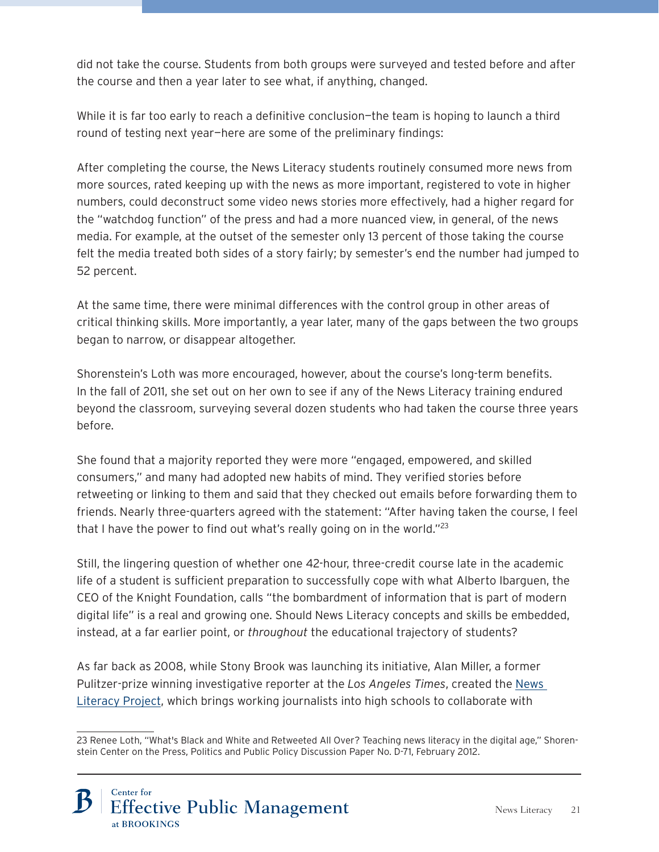did not take the course. Students from both groups were surveyed and tested before and after the course and then a year later to see what, if anything, changed.

While it is far too early to reach a definitive conclusion—the team is hoping to launch a third round of testing next year—here are some of the preliminary findings:

After completing the course, the News Literacy students routinely consumed more news from more sources, rated keeping up with the news as more important, registered to vote in higher numbers, could deconstruct some video news stories more effectively, had a higher regard for the "watchdog function" of the press and had a more nuanced view, in general, of the news media. For example, at the outset of the semester only 13 percent of those taking the course felt the media treated both sides of a story fairly; by semester's end the number had jumped to 52 percent.

At the same time, there were minimal differences with the control group in other areas of critical thinking skills. More importantly, a year later, many of the gaps between the two groups began to narrow, or disappear altogether.

Shorenstein's Loth was more encouraged, however, about the course's long-term benefits. In the fall of 2011, she set out on her own to see if any of the News Literacy training endured beyond the classroom, surveying several dozen students who had taken the course three years before.

She found that a majority reported they were more "engaged, empowered, and skilled consumers," and many had adopted new habits of mind. They verified stories before retweeting or linking to them and said that they checked out emails before forwarding them to friends. Nearly three-quarters agreed with the statement: "After having taken the course, I feel that I have the power to find out what's really going on in the world."<sup>23</sup>

Still, the lingering question of whether one 42-hour, three-credit course late in the academic life of a student is sufficient preparation to successfully cope with what Alberto Ibarguen, the CEO of the Knight Foundation, calls "the bombardment of information that is part of modern digital life" is a real and growing one. Should News Literacy concepts and skills be embedded, instead, at a far earlier point, or *throughout* the educational trajectory of students?

As far back as 2008, while Stony Brook was launching its initiative, Alan Miller, a former Pulitzer-prize winning investigative reporter at the *Los Angeles Times*, created the [News](http://www.thenewsliteracyproject.org/)  [Literacy Project,](http://www.thenewsliteracyproject.org/) which brings working journalists into high schools to collaborate with

<sup>23</sup> Renee Loth, "What's Black and White and Retweeted All Over? Teaching news literacy in the digital age," Shorenstein Center on the Press, Politics and Public Policy Discussion Paper No. D-71, February 2012.

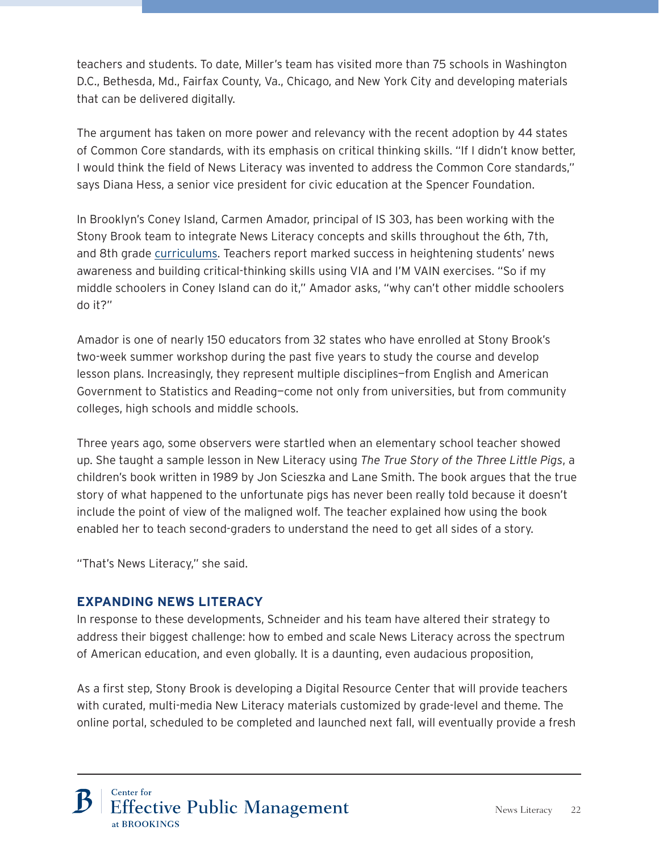teachers and students. To date, Miller's team has visited more than 75 schools in Washington D.C., Bethesda, Md., Fairfax County, Va., Chicago, and New York City and developing materials that can be delivered digitally.

The argument has taken on more power and relevancy with the recent adoption by 44 states of Common Core standards, with its emphasis on critical thinking skills. "If I didn't know better, I would think the field of News Literacy was invented to address the Common Core standards," says Diana Hess, a senior vice president for civic education at the Spencer Foundation.

In Brooklyn's Coney Island, Carmen Amador, principal of IS 303, has been working with the Stony Brook team to integrate News Literacy concepts and skills throughout the 6th, 7th, and 8th grade [curriculums](http://www.youtube.com/watch?v=2Exo9MolpFg&feature=youtu.be). Teachers report marked success in heightening students' news awareness and building critical-thinking skills using VIA and I'M VAIN exercises. "So if my middle schoolers in Coney Island can do it," Amador asks, "why can't other middle schoolers do it?"

Amador is one of nearly 150 educators from 32 states who have enrolled at Stony Brook's two-week summer workshop during the past five years to study the course and develop lesson plans. Increasingly, they represent multiple disciplines—from English and American Government to Statistics and Reading—come not only from universities, but from community colleges, high schools and middle schools.

Three years ago, some observers were startled when an elementary school teacher showed up. She taught a sample lesson in New Literacy using *The True Story of the Three Little Pigs*, a children's book written in 1989 by Jon Scieszka and Lane Smith. The book argues that the true story of what happened to the unfortunate pigs has never been really told because it doesn't include the point of view of the maligned wolf. The teacher explained how using the book enabled her to teach second-graders to understand the need to get all sides of a story.

"That's News Literacy," she said.

### **EXPANDING NEWS LITERACY**

In response to these developments, Schneider and his team have altered their strategy to address their biggest challenge: how to embed and scale News Literacy across the spectrum of American education, and even globally. It is a daunting, even audacious proposition,

As a first step, Stony Brook is developing a Digital Resource Center that will provide teachers with curated, multi-media New Literacy materials customized by grade-level and theme. The online portal, scheduled to be completed and launched next fall, will eventually provide a fresh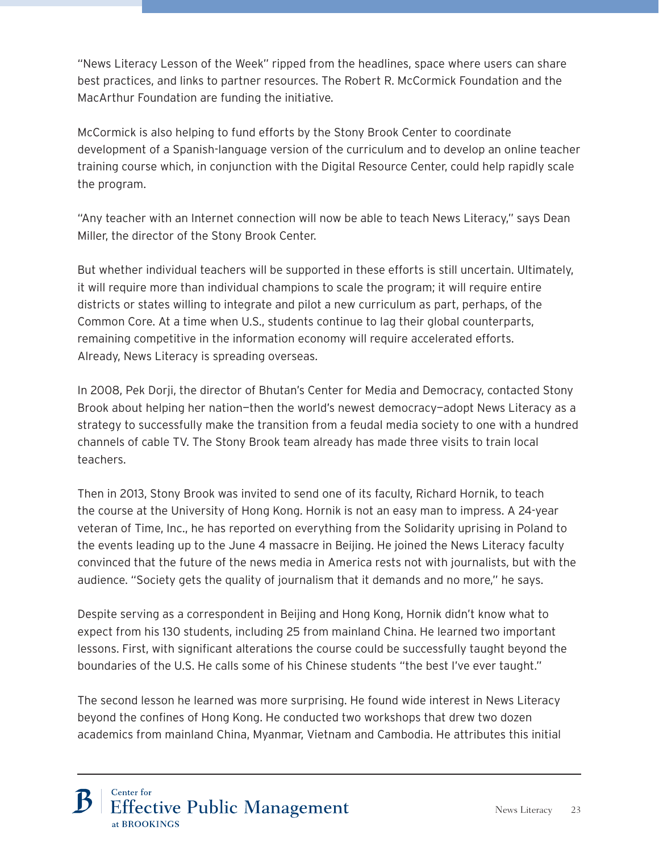"News Literacy Lesson of the Week" ripped from the headlines, space where users can share best practices, and links to partner resources. The Robert R. McCormick Foundation and the MacArthur Foundation are funding the initiative.

McCormick is also helping to fund efforts by the Stony Brook Center to coordinate development of a Spanish-language version of the curriculum and to develop an online teacher training course which, in conjunction with the Digital Resource Center, could help rapidly scale the program.

"Any teacher with an Internet connection will now be able to teach News Literacy," says Dean Miller, the director of the Stony Brook Center.

But whether individual teachers will be supported in these efforts is still uncertain. Ultimately, it will require more than individual champions to scale the program; it will require entire districts or states willing to integrate and pilot a new curriculum as part, perhaps, of the Common Core. At a time when U.S., students continue to lag their global counterparts, remaining competitive in the information economy will require accelerated efforts. Already, News Literacy is spreading overseas.

In 2008, Pek Dorji, the director of Bhutan's Center for Media and Democracy, contacted Stony Brook about helping her nation—then the world's newest democracy—adopt News Literacy as a strategy to successfully make the transition from a feudal media society to one with a hundred channels of cable TV. The Stony Brook team already has made three visits to train local teachers.

Then in 2013, Stony Brook was invited to send one of its faculty, Richard Hornik, to teach the course at the University of Hong Kong. Hornik is not an easy man to impress. A 24-year veteran of Time, Inc., he has reported on everything from the Solidarity uprising in Poland to the events leading up to the June 4 massacre in Beijing. He joined the News Literacy faculty convinced that the future of the news media in America rests not with journalists, but with the audience. "Society gets the quality of journalism that it demands and no more," he says.

Despite serving as a correspondent in Beijing and Hong Kong, Hornik didn't know what to expect from his 130 students, including 25 from mainland China. He learned two important lessons. First, with significant alterations the course could be successfully taught beyond the boundaries of the U.S. He calls some of his Chinese students "the best I've ever taught."

The second lesson he learned was more surprising. He found wide interest in News Literacy beyond the confines of Hong Kong. He conducted two workshops that drew two dozen academics from mainland China, Myanmar, Vietnam and Cambodia. He attributes this initial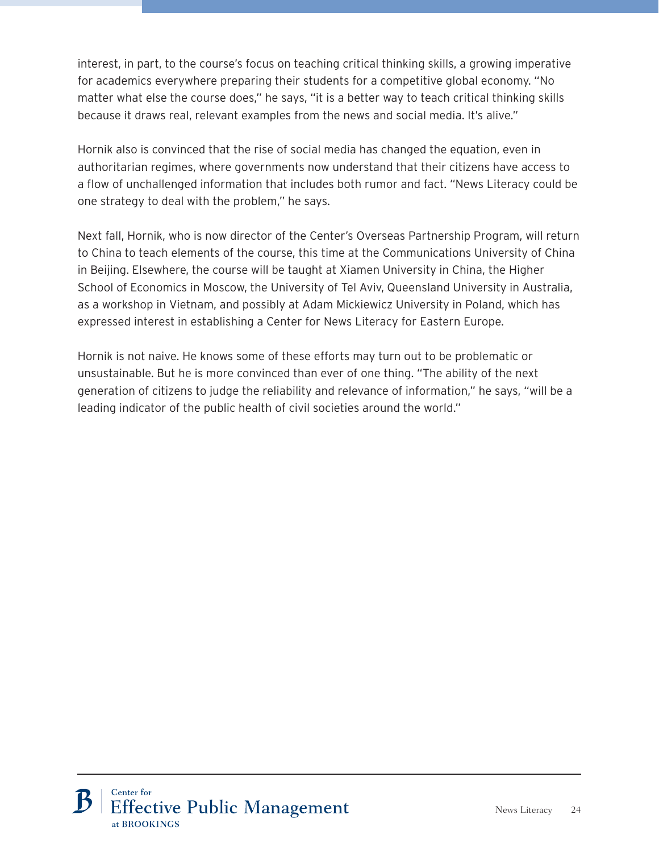interest, in part, to the course's focus on teaching critical thinking skills, a growing imperative for academics everywhere preparing their students for a competitive global economy. "No matter what else the course does," he says, "it is a better way to teach critical thinking skills because it draws real, relevant examples from the news and social media. It's alive."

Hornik also is convinced that the rise of social media has changed the equation, even in authoritarian regimes, where governments now understand that their citizens have access to a flow of unchallenged information that includes both rumor and fact. "News Literacy could be one strategy to deal with the problem," he says.

Next fall, Hornik, who is now director of the Center's Overseas Partnership Program, will return to China to teach elements of the course, this time at the Communications University of China in Beijing. Elsewhere, the course will be taught at Xiamen University in China, the Higher School of Economics in Moscow, the University of Tel Aviv, Queensland University in Australia, as a workshop in Vietnam, and possibly at Adam Mickiewicz University in Poland, which has expressed interest in establishing a Center for News Literacy for Eastern Europe.

Hornik is not naive. He knows some of these efforts may turn out to be problematic or unsustainable. But he is more convinced than ever of one thing. "The ability of the next generation of citizens to judge the reliability and relevance of information," he says, "will be a leading indicator of the public health of civil societies around the world."